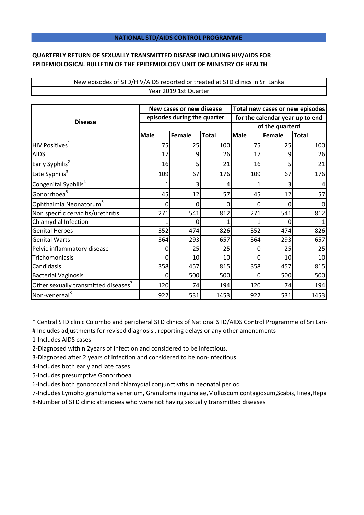## **NATIONAL STD/AIDS CONTROL PROGRAMME**

## **QUARTERLY RETURN OF SEXUALLY TRANSMITTED DISEASE INCLUDING HIV/AIDS FOR EPIDEMIOLOGICAL BULLETIN OF THE EPIDEMIOLOGY UNIT OF MINISTRY OF HEALTH**

## New episodes of STD/HIV/AIDS reported or treated at STD clinics in Sri Lanka Year 2019 1st Quarter

| <b>Disease</b>                       | New cases or new disease    |        |              | Total new cases or new episodes |        |              |
|--------------------------------------|-----------------------------|--------|--------------|---------------------------------|--------|--------------|
|                                      | episodes during the quarter |        |              | for the calendar year up to end |        |              |
|                                      |                             |        |              | of the quarter#                 |        |              |
|                                      | <b>Male</b>                 | Female | <b>Total</b> | <b>Male</b>                     | Female | <b>Total</b> |
| HIV Positives <sup>1</sup>           | 75                          | 25     | 100          | 75                              | 25     | 100          |
| <b>AIDS</b>                          | 17                          | 9      | 26           | 17                              | 9      | 26           |
| Early Syphilis <sup>2</sup>          | 16                          | 5      | 21           | 16                              | 5      | 21           |
| Late Syphilis <sup>3</sup>           | 109                         | 67     | 176          | 109                             | 67     | 176          |
| Congenital Syphilis <sup>4</sup>     | 1                           | 3      | 4            |                                 | 3      |              |
| Gonorrhoea <sup>5</sup>              | 45                          | 12     | 57           | 45                              | 12     | 57           |
| Ophthalmia Neonatorum <sup>6</sup>   | 0                           | 0      | 0            | 0                               | 0      |              |
| Non specific cervicitis/urethritis   | 271                         | 541    | 812          | 271                             | 541    | 812          |
| Chlamydial Infection                 |                             |        |              |                                 | ი      |              |
| <b>Genital Herpes</b>                | 352                         | 474    | 826          | 352                             | 474    | 826          |
| <b>Genital Warts</b>                 | 364                         | 293    | 657          | 364                             | 293    | 657          |
| Pelvic inflammatory disease          | 0                           | 25     | 25           | 0                               | 25     | 25           |
| Trichomoniasis                       | 0                           | 10     | 10           | ი                               | 10     | 10           |
| Candidasis                           | 358                         | 457    | 815          | 358                             | 457    | 815          |
| <b>Bacterial Vaginosis</b>           | 0                           | 500    | 500          | 0                               | 500    | 500          |
| Other sexually transmitted diseases' | 120                         | 74     | 194          | 120                             | 74     | 194          |
| Non-venereal <sup>8</sup>            | 922                         | 531    | 1453         | 922                             | 531    | 1453         |

\* Central STD clinic Colombo and peripheral STD clinics of National STD/AIDS Control Programme of Sri Lanka

# Includes adjustments for revised diagnosis , reporting delays or any other amendments

1-Includes AIDS cases

2-Diagnosed within 2years of infection and considered to be infectious.

3-Diagnosed after 2 years of infection and considered to be non-infectious

4-Includes both early and late cases

5-Includes presumptive Gonorrhoea

6-Includes both gonococcal and chlamydial conjunctivitis in neonatal period

7-Includes Lympho granuloma venerium, Granuloma inguinalae,Molluscum contagiosum,Scabis,Tinea,Hepa

8-Number of STD clinic attendees who were not having sexually transmitted diseases